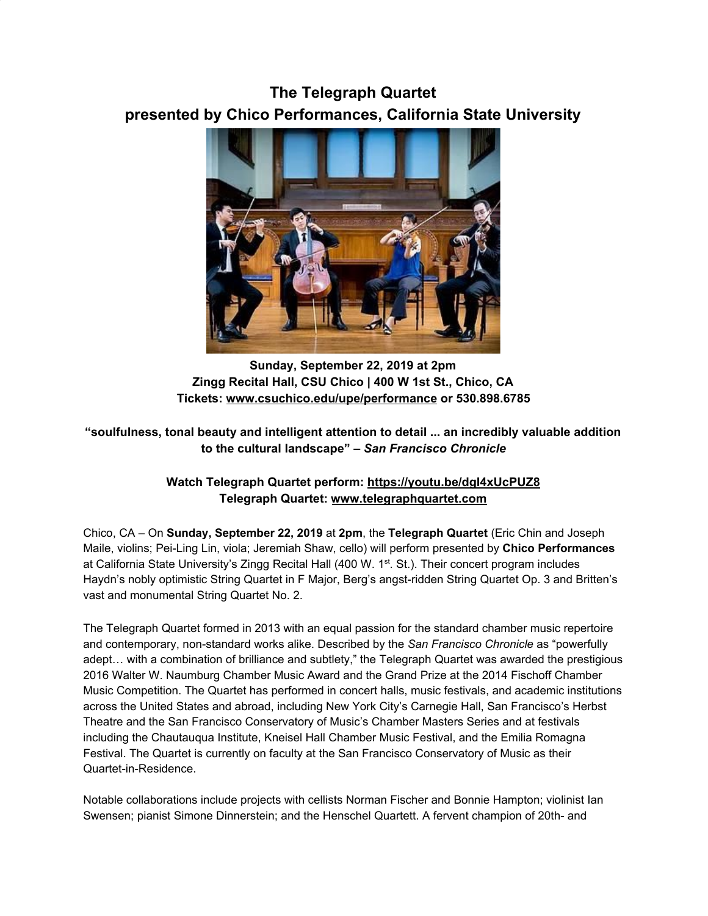## **The Telegraph Quartet presented by Chico Performances, California State University**



**Sunday, September 22, 2019 at 2pm Zingg Recital Hall, CSU Chico | 400 W 1st St., Chico, CA Tickets: [www.csuchico.edu/upe/performance](https://u7061146.ct.sendgrid.net/wf/click?upn=84Em28S1K9SvtzcUtu04EgOqu5cRs3kufhKpu8ssrrP8ma57yoi3LNn2BSG3Gad8_DruDjhchMBr5xQkz3h1qcOnjZc-2BCsAVhraQ7DxYhbA2-2BHLQf-2BHKWaWi2FTM7QHo-2Fd7eCMDRMAhfd2mcWSs-2FpzNW9MmuPwV7rH-2FbDd7DdSSbc0Izp2gaueQED2Dgv-2BD5w0jgIDSJ73vAaY4jNOSWc8IS0DVxevuQH32yTqfXsX9Jj2174PDOaDcO3fp7MQcEjt4cGfms-2BY8ed312Awzc0gIiDnWRfjA58wvtrdALJPOUCr3-2FgGgwEBI-2BmbFdURwtwZRTnMlguXa5BpSb49KrT04nesE7FLQp1yO57ETf7IzlT7i016NUR3l98rKqNPR9uZP6-2BMyDSMTCoD9hDrq1cBBjFqiyqUgNrcoiWMAhBukg-3D) or 530.898.6785**

## **"soulfulness, tonal beauty and intelligent attention to detail ... an incredibly valuable addition to the cultural landscape" –** *San Francisco Chronicle*

## **Watch Telegraph Quartet perform: [https://youtu.be/dgI4xUcPUZ8](https://u7061146.ct.sendgrid.net/wf/click?upn=G62jSYfZdO-2F12d8lSllQB7MmA7BurRK-2BbaNyAjB-2BKFt-2FpZMQxbDU9Ocup3GaOM8C_DruDjhchMBr5xQkz3h1qcOnjZc-2BCsAVhraQ7DxYhbA2-2BHLQf-2BHKWaWi2FTM7QHo-2Fd7eCMDRMAhfd2mcWSs-2FpzNW9MmuPwV7rH-2FbDd7DdSSbc0Izp2gaueQED2Dgv-2BD5w0jgIDSJ73vAaY4jNOSWc8IS0DVxevuQH32yTqfXsX9Jj2174PDOaDcO3fp7MQcEjt4cGfms-2BY8ed312Awzc0gH2yUuDznS-2FUNklY7K2wH-2BIYOr-2BB08CUllCQbbM59Lej-2F-2BiYg3C5i04Qb2C9ATjvwogzGsBCAm1tp0JgYS4u6XeREWjobXPJGld6uPVkaXcYK7Hd8nSlY4sCBiZqCUOJricNSUH5J91mGwWNpLsiZKQ-3D) Telegraph Quartet: [www.telegraphquartet.com](https://u7061146.ct.sendgrid.net/wf/click?upn=84Em28S1K9SvtzcUtu04En1OYlqyWC1qa3CtuXuqVBU87y6AmtKKClRlEdT1ARS9_DruDjhchMBr5xQkz3h1qcOnjZc-2BCsAVhraQ7DxYhbA2-2BHLQf-2BHKWaWi2FTM7QHo-2Fd7eCMDRMAhfd2mcWSs-2FpzNW9MmuPwV7rH-2FbDd7DdSSbc0Izp2gaueQED2Dgv-2BD5w0jgIDSJ73vAaY4jNOSWc8IS0DVxevuQH32yTqfXsX9Jj2174PDOaDcO3fp7MQcEjt4cGfms-2BY8ed312Awzc0gDCxGDBg0k82M0RRy0GALQZ6IkOGd0HSPq-2FmKoV1t9NarHOWCDCp910gCQOrz88PXmjAkIS7yRtz0l03q-2FeePuFfaqaYNJfIxSfNL1GEUHfKdjbMlpsLFykhaTBDWBX82yCZWFvCjYZrqLwrno6XL-2FU-3D)**

Chico, CA – On **Sunday, September 22, 2019** at **2pm**, the **Telegraph Quartet** (Eric Chin and Joseph Maile, violins; Pei-Ling Lin, viola; Jeremiah Shaw, cello) will perform presented by **Chico Performances** at California State University's Zingg Recital Hall (400 W. 1<sup>st</sup>. St.). Their concert program includes Haydn's nobly optimistic String Quartet in F Major, Berg's angst-ridden String Quartet Op. 3 and Britten's vast and monumental String Quartet No. 2.

The Telegraph Quartet formed in 2013 with an equal passion for the standard chamber music repertoire and contemporary, non-standard works alike. Described by the *San Francisco Chronicle* as "powerfully adept… with a combination of brilliance and subtlety," the Telegraph Quartet was awarded the prestigious 2016 Walter W. Naumburg Chamber Music Award and the Grand Prize at the 2014 Fischoff Chamber Music Competition. The Quartet has performed in concert halls, music festivals, and academic institutions across the United States and abroad, including New York City's Carnegie Hall, San Francisco's Herbst Theatre and the San Francisco Conservatory of Music's Chamber Masters Series and at festivals including the Chautauqua Institute, Kneisel Hall Chamber Music Festival, and the Emilia Romagna Festival. The Quartet is currently on faculty at the San Francisco Conservatory of Music as their Quartet-in-Residence.

Notable collaborations include projects with cellists Norman Fischer and Bonnie Hampton; violinist Ian Swensen; pianist Simone Dinnerstein; and the Henschel Quartett. A fervent champion of 20th- and